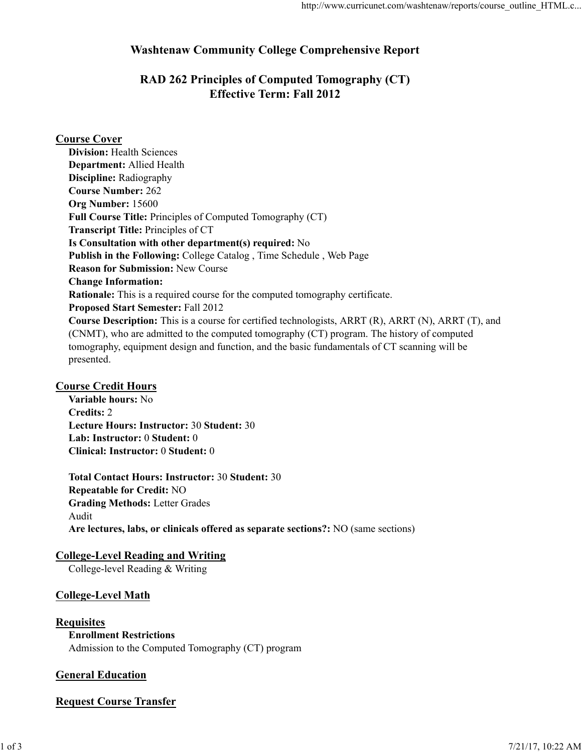# **Washtenaw Community College Comprehensive Report**

# **RAD 262 Principles of Computed Tomography (CT) Effective Term: Fall 2012**

# **Course Cover**

**Division:** Health Sciences **Department:** Allied Health **Discipline:** Radiography **Course Number:** 262 **Org Number:** 15600 **Full Course Title:** Principles of Computed Tomography (CT) **Transcript Title:** Principles of CT **Is Consultation with other department(s) required:** No **Publish in the Following:** College Catalog , Time Schedule , Web Page **Reason for Submission:** New Course **Change Information: Rationale:** This is a required course for the computed tomography certificate. **Proposed Start Semester:** Fall 2012 **Course Description:** This is a course for certified technologists, ARRT (R), ARRT (N), ARRT (T), and (CNMT), who are admitted to the computed tomography (CT) program. The history of computed tomography, equipment design and function, and the basic fundamentals of CT scanning will be presented.

## **Course Credit Hours**

**Variable hours:** No **Credits:** 2 **Lecture Hours: Instructor:** 30 **Student:** 30 **Lab: Instructor:** 0 **Student:** 0 **Clinical: Instructor:** 0 **Student:** 0

**Total Contact Hours: Instructor:** 30 **Student:** 30 **Repeatable for Credit:** NO **Grading Methods:** Letter Grades Audit **Are lectures, labs, or clinicals offered as separate sections?:** NO (same sections)

## **College-Level Reading and Writing**

College-level Reading & Writing

# **College-Level Math**

- **Requisites**
	- **Enrollment Restrictions**

Admission to the Computed Tomography (CT) program

## **General Education**

# **Request Course Transfer**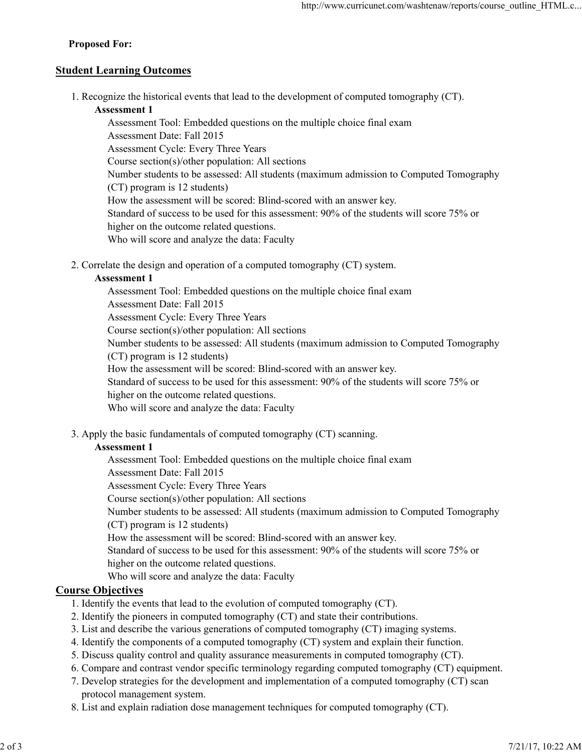### **Proposed For:**

## **Student Learning Outcomes**

1. Recognize the historical events that lead to the development of computed tomography (CT).

### **Assessment 1**

Assessment Tool: Embedded questions on the multiple choice final exam Assessment Date: Fall 2015 Assessment Cycle: Every Three Years Course section(s)/other population: All sections Number students to be assessed: All students (maximum admission to Computed Tomography (CT) program is 12 students) How the assessment will be scored: Blind-scored with an answer key. Standard of success to be used for this assessment: 90% of the students will score 75% or higher on the outcome related questions. Who will score and analyze the data: Faculty

2. Correlate the design and operation of a computed tomography (CT) system.

### **Assessment 1**

Assessment Tool: Embedded questions on the multiple choice final exam Assessment Date: Fall 2015 Assessment Cycle: Every Three Years Course section(s)/other population: All sections Number students to be assessed: All students (maximum admission to Computed Tomography (CT) program is 12 students) How the assessment will be scored: Blind-scored with an answer key. Standard of success to be used for this assessment: 90% of the students will score 75% or higher on the outcome related questions. Who will score and analyze the data: Faculty

3. Apply the basic fundamentals of computed tomography (CT) scanning.

## **Assessment 1**

Assessment Tool: Embedded questions on the multiple choice final exam

Assessment Date: Fall 2015

Assessment Cycle: Every Three Years

Course section(s)/other population: All sections

Number students to be assessed: All students (maximum admission to Computed Tomography

(CT) program is 12 students)

How the assessment will be scored: Blind-scored with an answer key.

Standard of success to be used for this assessment: 90% of the students will score 75% or higher on the outcome related questions.

Who will score and analyze the data: Faculty

## **Course Objectives**

- 1. Identify the events that lead to the evolution of computed tomography (CT).
- 2. Identify the pioneers in computed tomography (CT) and state their contributions.
- 3. List and describe the various generations of computed tomography (CT) imaging systems.
- 4. Identify the components of a computed tomography (CT) system and explain their function.
- 5. Discuss quality control and quality assurance measurements in computed tomography (CT).
- 6. Compare and contrast vendor specific terminology regarding computed tomography (CT) equipment.
- 7. Develop strategies for the development and implementation of a computed tomography (CT) scan protocol management system.
- 8. List and explain radiation dose management techniques for computed tomography (CT).